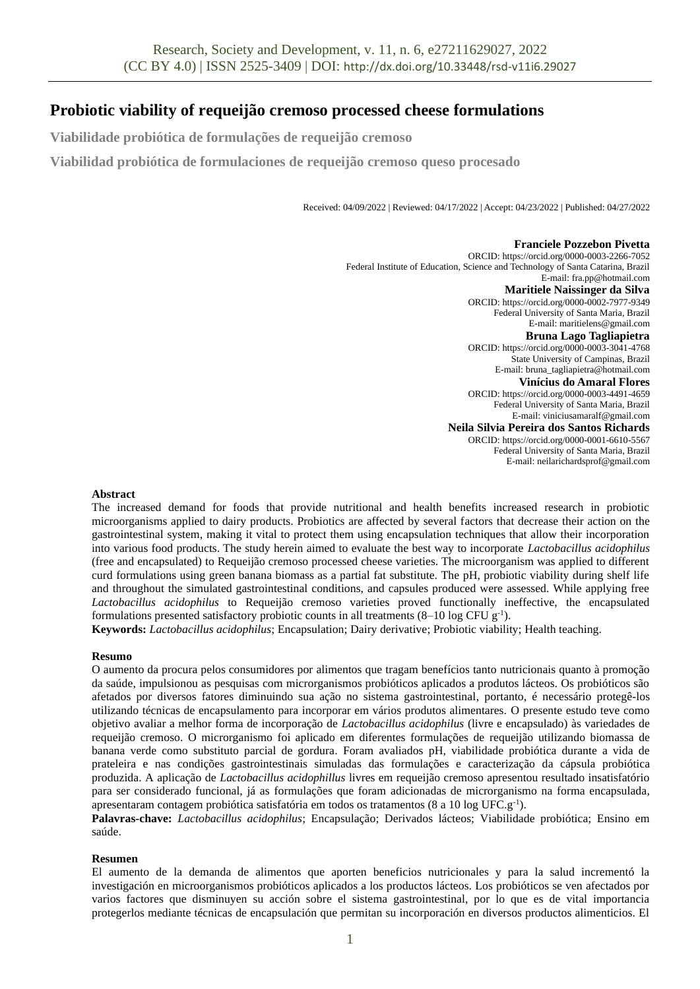# **Probiotic viability of requeijão cremoso processed cheese formulations**

**Viabilidade probiótica de formulações de requeijão cremoso**

**Viabilidad probiótica de formulaciones de requeijão cremoso queso procesado** 

Received: 04/09/2022 | Reviewed: 04/17/2022 | Accept: 04/23/2022 | Published: 04/27/2022

**Franciele Pozzebon Pivetta** ORCID: https://orcid.org/0000-0003-2266-7052 Federal Institute of Education, Science and Technology of Santa Catarina, Brazil E-mail: fra.pp@hotmail.com **Maritiele Naissinger da Silva** ORCID: https://orcid.org/0000-0002-7977-9349 Federal University of Santa Maria, Brazil E-mail: maritielens@gmail.com **Bruna Lago Tagliapietra** ORCID: https://orcid.org/0000-0003-3041-4768 State University of Campinas, Brazil E-mail: bruna\_tagliapietra@hotmail.com **Vinícius do Amaral Flores** ORCID: https://orcid.org/0000-0003-4491-4659 Federal University of Santa Maria, Brazil E-mail: viniciusamaralf@gmail.com **Neila Silvia Pereira dos Santos Richards** ORCID: https://orcid.org/0000-0001-6610-5567 Federal University of Santa Maria, Brazil E-mail: neilarichardsprof@gmail.com

### **Abstract**

The increased demand for foods that provide nutritional and health benefits increased research in probiotic microorganisms applied to dairy products. Probiotics are affected by several factors that decrease their action on the gastrointestinal system, making it vital to protect them using encapsulation techniques that allow their incorporation into various food products. The study herein aimed to evaluate the best way to incorporate *Lactobacillus acidophilus* (free and encapsulated) to Requeijão cremoso processed cheese varieties. The microorganism was applied to different curd formulations using green banana biomass as a partial fat substitute. The pH, probiotic viability during shelf life and throughout the simulated gastrointestinal conditions, and capsules produced were assessed. While applying free *Lactobacillus acidophilus* to Requeijão cremoso varieties proved functionally ineffective, the encapsulated formulations presented satisfactory probiotic counts in all treatments (8-10 log CFU g<sup>-1</sup>).

**Keywords:** *Lactobacillus acidophilus*; Encapsulation; Dairy derivative; Probiotic viability; Health teaching.

#### **Resumo**

O aumento da procura pelos consumidores por alimentos que tragam benefícios tanto nutricionais quanto à promoção da saúde, impulsionou as pesquisas com microrganismos probióticos aplicados a produtos lácteos. Os probióticos são afetados por diversos fatores diminuindo sua ação no sistema gastrointestinal, portanto, é necessário protegê-los utilizando técnicas de encapsulamento para incorporar em vários produtos alimentares. O presente estudo teve como objetivo avaliar a melhor forma de incorporação de *Lactobacillus acidophilus* (livre e encapsulado) às variedades de requeijão cremoso. O microrganismo foi aplicado em diferentes formulações de requeijão utilizando biomassa de banana verde como substituto parcial de gordura. Foram avaliados pH, viabilidade probiótica durante a vida de prateleira e nas condições gastrointestinais simuladas das formulações e caracterização da cápsula probiótica produzida. A aplicação de *Lactobacillus acidophillus* livres em requeijão cremoso apresentou resultado insatisfatório para ser considerado funcional, já as formulações que foram adicionadas de microrganismo na forma encapsulada, apresentaram contagem probiótica satisfatória em todos os tratamentos (8 a 10 log UFC.g<sup>-1</sup>).

**Palavras-chave:** *Lactobacillus acidophilus*; Encapsulação; Derivados lácteos; Viabilidade probiótica; Ensino em saúde.

#### **Resumen**

El aumento de la demanda de alimentos que aporten beneficios nutricionales y para la salud incrementó la investigación en microorganismos probióticos aplicados a los productos lácteos. Los probióticos se ven afectados por varios factores que disminuyen su acción sobre el sistema gastrointestinal, por lo que es de vital importancia protegerlos mediante técnicas de encapsulación que permitan su incorporación en diversos productos alimenticios. El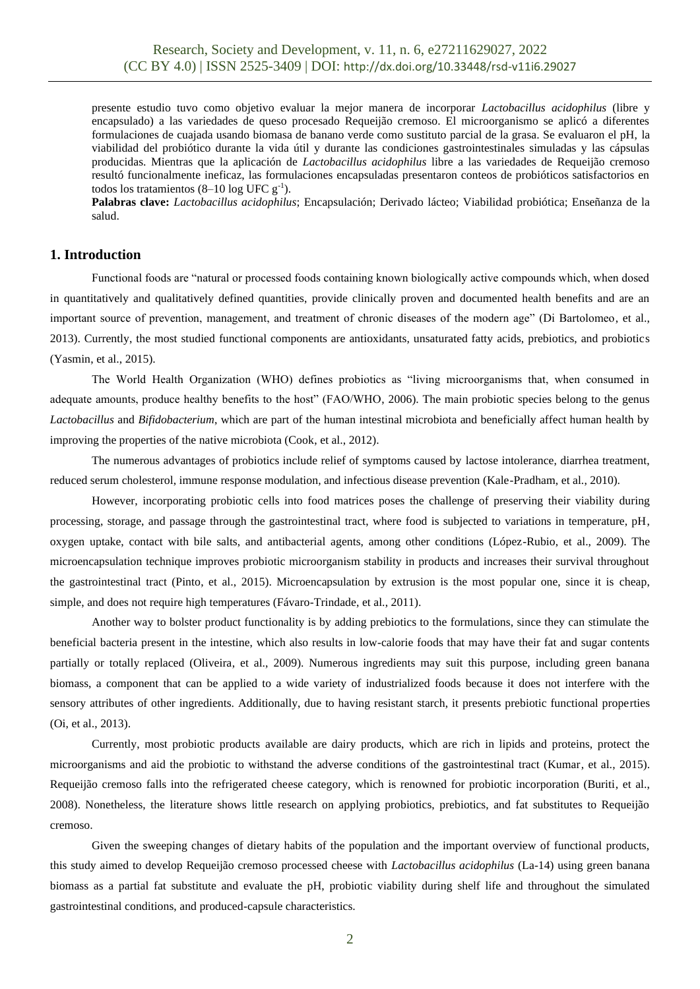presente estudio tuvo como objetivo evaluar la mejor manera de incorporar *Lactobacillus acidophilus* (libre y encapsulado) a las variedades de queso procesado Requeijão cremoso. El microorganismo se aplicó a diferentes formulaciones de cuajada usando biomasa de banano verde como sustituto parcial de la grasa. Se evaluaron el pH, la viabilidad del probiótico durante la vida útil y durante las condiciones gastrointestinales simuladas y las cápsulas producidas. Mientras que la aplicación de *Lactobacillus acidophilus* libre a las variedades de Requeijão cremoso resultó funcionalmente ineficaz, las formulaciones encapsuladas presentaron conteos de probióticos satisfactorios en todos los tratamientos  $(8-10 \log \text{UFC g}^{-1})$ .

**Palabras clave:** *Lactobacillus acidophilus*; Encapsulación; Derivado lácteo; Viabilidad probiótica; Enseñanza de la salud.

# **1. Introduction**

Functional foods are "natural or processed foods containing known biologically active compounds which, when dosed in quantitatively and qualitatively defined quantities, provide clinically proven and documented health benefits and are an important source of prevention, management, and treatment of chronic diseases of the modern age" (Di Bartolomeo, et al., 2013). Currently, the most studied functional components are antioxidants, unsaturated fatty acids, prebiotics, and probiotics (Yasmin, et al., 2015).

The World Health Organization (WHO) defines probiotics as "living microorganisms that, when consumed in adequate amounts, produce healthy benefits to the host" (FAO/WHO, 2006). The main probiotic species belong to the genus *Lactobacillus* and *Bifidobacterium*, which are part of the human intestinal microbiota and beneficially affect human health by improving the properties of the native microbiota (Cook, et al., 2012).

The numerous advantages of probiotics include relief of symptoms caused by lactose intolerance, diarrhea treatment, reduced serum cholesterol, immune response modulation, and infectious disease prevention (Kale-Pradham, et al., 2010).

However, incorporating probiotic cells into food matrices poses the challenge of preserving their viability during processing, storage, and passage through the gastrointestinal tract, where food is subjected to variations in temperature, pH, oxygen uptake, contact with bile salts, and antibacterial agents, among other conditions (López-Rubio, et al., 2009). The microencapsulation technique improves probiotic microorganism stability in products and increases their survival throughout the gastrointestinal tract (Pinto, et al., 2015). Microencapsulation by extrusion is the most popular one, since it is cheap, simple, and does not require high temperatures (Fávaro-Trindade, et al., 2011).

Another way to bolster product functionality is by adding prebiotics to the formulations, since they can stimulate the beneficial bacteria present in the intestine, which also results in low-calorie foods that may have their fat and sugar contents partially or totally replaced (Oliveira, et al., 2009). Numerous ingredients may suit this purpose, including green banana biomass, a component that can be applied to a wide variety of industrialized foods because it does not interfere with the sensory attributes of other ingredients. Additionally, due to having resistant starch, it presents prebiotic functional properties (Oi, et al., 2013).

Currently, most probiotic products available are dairy products, which are rich in lipids and proteins, protect the microorganisms and aid the probiotic to withstand the adverse conditions of the gastrointestinal tract (Kumar, et al., 2015). Requeijão cremoso falls into the refrigerated cheese category, which is renowned for probiotic incorporation (Buriti, et al., 2008). Nonetheless, the literature shows little research on applying probiotics, prebiotics, and fat substitutes to Requeijão cremoso.

Given the sweeping changes of dietary habits of the population and the important overview of functional products, this study aimed to develop Requeijão cremoso processed cheese with *Lactobacillus acidophilus* (La-14) using green banana biomass as a partial fat substitute and evaluate the pH, probiotic viability during shelf life and throughout the simulated gastrointestinal conditions, and produced-capsule characteristics.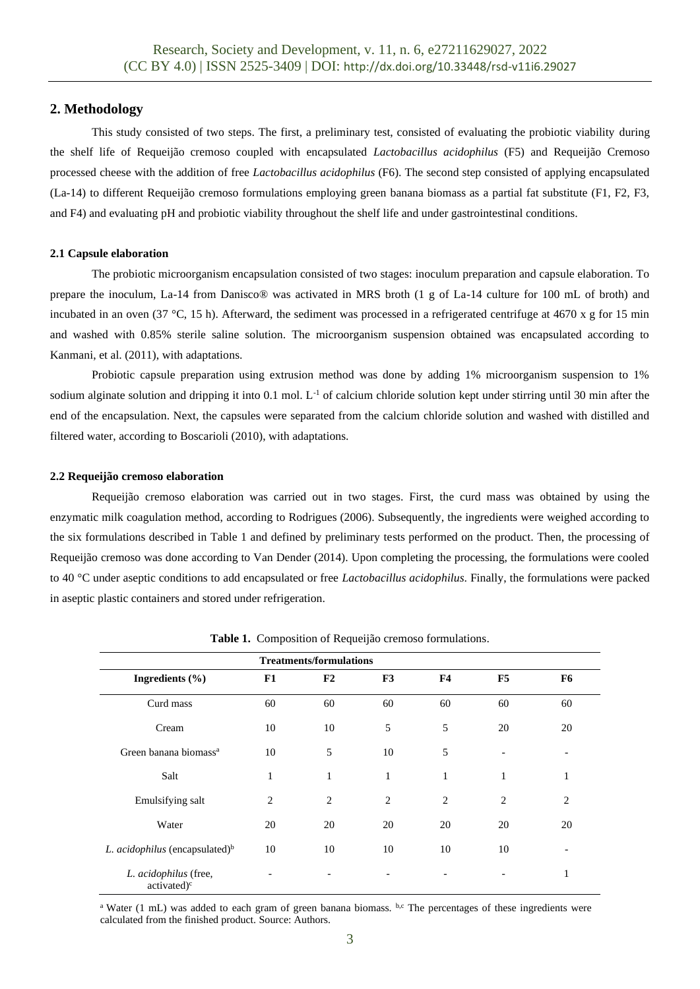# **2. Methodology**

This study consisted of two steps. The first, a preliminary test, consisted of evaluating the probiotic viability during the shelf life of Requeijão cremoso coupled with encapsulated *Lactobacillus acidophilus* (F5) and Requeijão Cremoso processed cheese with the addition of free *Lactobacillus acidophilus* (F6). The second step consisted of applying encapsulated (La-14) to different Requeijão cremoso formulations employing green banana biomass as a partial fat substitute (F1, F2, F3, and F4) and evaluating pH and probiotic viability throughout the shelf life and under gastrointestinal conditions.

### **2.1 Capsule elaboration**

The probiotic microorganism encapsulation consisted of two stages: inoculum preparation and capsule elaboration. To prepare the inoculum, La-14 from Danisco® was activated in MRS broth (1 g of La-14 culture for 100 mL of broth) and incubated in an oven (37 °C, 15 h). Afterward, the sediment was processed in a refrigerated centrifuge at 4670 x g for 15 min and washed with 0.85% sterile saline solution. The microorganism suspension obtained was encapsulated according to Kanmani, et al. (2011), with adaptations.

Probiotic capsule preparation using extrusion method was done by adding 1% microorganism suspension to 1% sodium alginate solution and dripping it into 0.1 mol.  $L^{-1}$  of calcium chloride solution kept under stirring until 30 min after the end of the encapsulation. Next, the capsules were separated from the calcium chloride solution and washed with distilled and filtered water, according to Boscarioli (2010), with adaptations.

#### **2.2 Requeijão cremoso elaboration**

Requeijão cremoso elaboration was carried out in two stages. First, the curd mass was obtained by using the enzymatic milk coagulation method, according to Rodrigues (2006). Subsequently, the ingredients were weighed according to the six formulations described in Table 1 and defined by preliminary tests performed on the product. Then, the processing of Requeijão cremoso was done according to Van Dender (2014). Upon completing the processing, the formulations were cooled to 40 °C under aseptic conditions to add encapsulated or free *Lactobacillus acidophilus*. Finally, the formulations were packed in aseptic plastic containers and stored under refrigeration.

| <b>Treatments/formulations</b>                   |    |                |    |              |                |    |
|--------------------------------------------------|----|----------------|----|--------------|----------------|----|
| Ingredients $(\% )$                              | F1 | F2             | F3 | F4           | F5             | F6 |
| Curd mass                                        | 60 | 60             | 60 | 60           | 60             | 60 |
| Cream                                            | 10 | 10             | 5  | 5            | 20             | 20 |
| Green banana biomass <sup>a</sup>                | 10 | 5              | 10 | 5            |                |    |
| Salt                                             | 1  | $\mathbf{1}$   | 1  | $\mathbf{1}$ | 1              | 1  |
| Emulsifying salt                                 | 2  | $\overline{2}$ | 2  | 2            | $\overline{2}$ | 2  |
| Water                                            | 20 | 20             | 20 | 20           | 20             | 20 |
| L. acidophilus (encapsulated) $\rm^b$            | 10 | 10             | 10 | 10           | 10             |    |
| L. acidophilus (free,<br>activated) <sup>c</sup> |    |                |    |              |                | 1  |

**Table 1.** Composition of Requeijão cremoso formulations.

<sup>a</sup> Water (1 mL) was added to each gram of green banana biomass. b,c The percentages of these ingredients were calculated from the finished product. Source: Authors.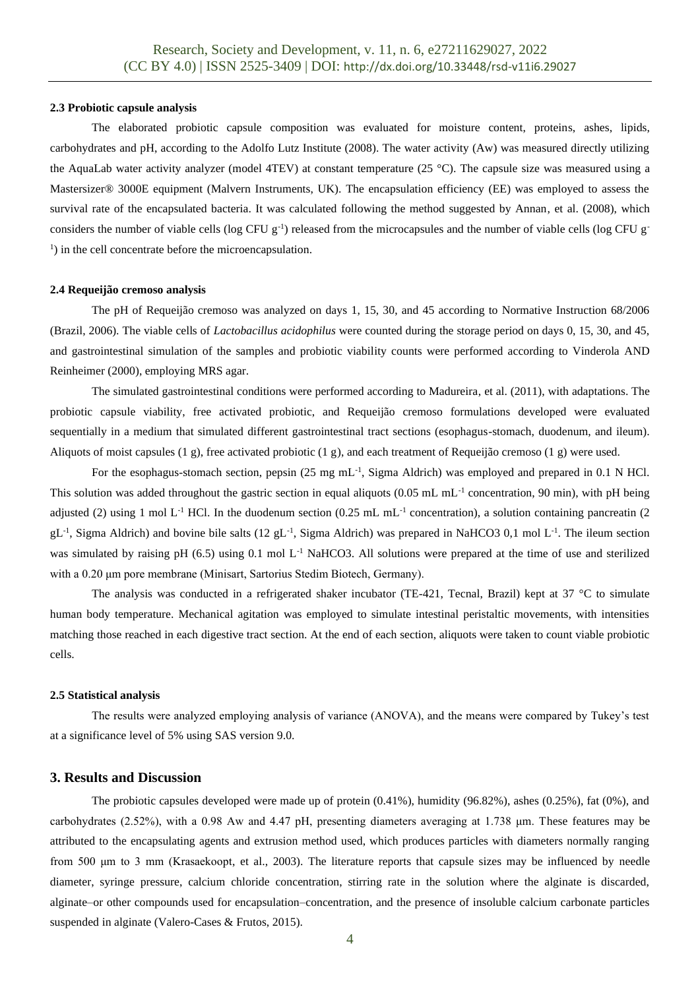#### **2.3 Probiotic capsule analysis**

The elaborated probiotic capsule composition was evaluated for moisture content, proteins, ashes, lipids, carbohydrates and pH, according to the Adolfo Lutz Institute (2008). The water activity (Aw) was measured directly utilizing the AquaLab water activity analyzer (model 4TEV) at constant temperature  $(25 \degree C)$ . The capsule size was measured using a Mastersizer® 3000E equipment (Malvern Instruments, UK). The encapsulation efficiency (EE) was employed to assess the survival rate of the encapsulated bacteria. It was calculated following the method suggested by Annan, et al. (2008), which considers the number of viable cells ( $log CFU g^{-1}$ ) released from the microcapsules and the number of viable cells ( $log CFU g^{-1}$ ) <sup>1</sup>) in the cell concentrate before the microencapsulation.

#### **2.4 Requeijão cremoso analysis**

The pH of Requeijão cremoso was analyzed on days 1, 15, 30, and 45 according to Normative Instruction 68/2006 (Brazil, 2006). The viable cells of *Lactobacillus acidophilus* were counted during the storage period on days 0, 15, 30, and 45, and gastrointestinal simulation of the samples and probiotic viability counts were performed according to Vinderola AND Reinheimer (2000), employing MRS agar.

The simulated gastrointestinal conditions were performed according to Madureira, et al. (2011), with adaptations. The probiotic capsule viability, free activated probiotic, and Requeijão cremoso formulations developed were evaluated sequentially in a medium that simulated different gastrointestinal tract sections (esophagus-stomach, duodenum, and ileum). Aliquots of moist capsules (1 g), free activated probiotic (1 g), and each treatment of Requeijão cremoso (1 g) were used.

For the esophagus-stomach section, pepsin (25 mg mL<sup>-1</sup>, Sigma Aldrich) was employed and prepared in 0.1 N HCl. This solution was added throughout the gastric section in equal aliquots (0.05 mL mL<sup>-1</sup> concentration, 90 min), with pH being adjusted (2) using 1 mol L<sup>-1</sup> HCl. In the duodenum section (0.25 mL mL<sup>-1</sup> concentration), a solution containing pancreatin (2  $gL^{-1}$ , Sigma Aldrich) and bovine bile salts (12 gL<sup>-1</sup>, Sigma Aldrich) was prepared in NaHCO3 0,1 mol L<sup>-1</sup>. The ileum section was simulated by raising pH  $(6.5)$  using 0.1 mol L<sup>-1</sup> NaHCO3. All solutions were prepared at the time of use and sterilized with a 0.20 μm pore membrane (Minisart, Sartorius Stedim Biotech, Germany).

The analysis was conducted in a refrigerated shaker incubator (TE-421, Tecnal, Brazil) kept at 37 °C to simulate human body temperature. Mechanical agitation was employed to simulate intestinal peristaltic movements, with intensities matching those reached in each digestive tract section. At the end of each section, aliquots were taken to count viable probiotic cells.

#### **2.5 Statistical analysis**

The results were analyzed employing analysis of variance (ANOVA), and the means were compared by Tukey's test at a significance level of 5% using SAS version 9.0.

# **3. Results and Discussion**

The probiotic capsules developed were made up of protein (0.41%), humidity (96.82%), ashes (0.25%), fat (0%), and carbohydrates (2.52%), with a 0.98 Aw and 4.47 pH, presenting diameters averaging at 1.738 μm. These features may be attributed to the encapsulating agents and extrusion method used, which produces particles with diameters normally ranging from 500 μm to 3 mm (Krasaekoopt, et al., 2003). The literature reports that capsule sizes may be influenced by needle diameter, syringe pressure, calcium chloride concentration, stirring rate in the solution where the alginate is discarded, alginate–or other compounds used for encapsulation–concentration, and the presence of insoluble calcium carbonate particles suspended in alginate (Valero-Cases & Frutos, 2015).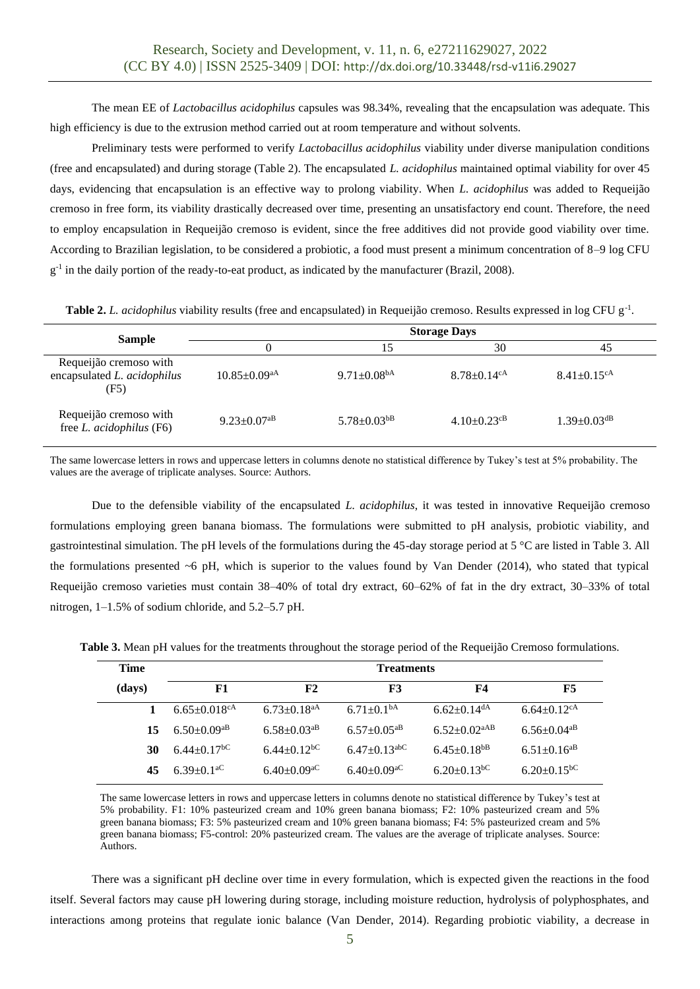The mean EE of *Lactobacillus acidophilus* capsules was 98.34%, revealing that the encapsulation was adequate. This high efficiency is due to the extrusion method carried out at room temperature and without solvents.

Preliminary tests were performed to verify *Lactobacillus acidophilus* viability under diverse manipulation conditions (free and encapsulated) and during storage (Table 2). The encapsulated *L. acidophilus* maintained optimal viability for over 45 days, evidencing that encapsulation is an effective way to prolong viability. When *L. acidophilus* was added to Requeijão cremoso in free form, its viability drastically decreased over time, presenting an unsatisfactory end count. Therefore, the need to employ encapsulation in Requeijão cremoso is evident, since the free additives did not provide good viability over time. According to Brazilian legislation, to be considered a probiotic, a food must present a minimum concentration of 8–9 log CFU g<sup>-1</sup> in the daily portion of the ready-to-eat product, as indicated by the manufacturer (Brazil, 2008).

Table 2. *L. acidophilus* viability results (free and encapsulated) in Requeijão cremoso. Results expressed in log CFU g<sup>-1</sup>.

|                                                               | <b>Storage Days</b>            |                               |                               |                               |  |  |  |
|---------------------------------------------------------------|--------------------------------|-------------------------------|-------------------------------|-------------------------------|--|--|--|
| <b>Sample</b>                                                 |                                |                               | 30                            | 45                            |  |  |  |
| Requeijão cremoso with<br>encapsulated L. acidophilus<br>(F5) | $10.85 \pm 0.09$ <sup>aA</sup> | $9.71 \pm 0.08$ <sup>bA</sup> | $8.78 \pm 0.14$ <sup>cA</sup> | $8.41 \pm 0.15$ <sup>cA</sup> |  |  |  |
| Requeijão cremoso with<br>free L. acidophilus (F6)            | $9.23 \pm 0.07$ <sup>aB</sup>  | $5.78 \pm 0.03$ <sup>bB</sup> | $4.10\pm0.23$ <sup>cB</sup>   | $1.39 \pm 0.03$ <sup>dB</sup> |  |  |  |

The same lowercase letters in rows and uppercase letters in columns denote no statistical difference by Tukey's test at 5% probability. The values are the average of triplicate analyses. Source: Authors.

Due to the defensible viability of the encapsulated *L. acidophilus*, it was tested in innovative Requeijão cremoso formulations employing green banana biomass. The formulations were submitted to pH analysis, probiotic viability, and gastrointestinal simulation. The pH levels of the formulations during the 45-day storage period at 5 °C are listed in Table 3. All the formulations presented  $\sim$  6 pH, which is superior to the values found by Van Dender (2014), who stated that typical Requeijão cremoso varieties must contain 38–40% of total dry extract, 60–62% of fat in the dry extract, 30–33% of total nitrogen, 1–1.5% of sodium chloride, and 5.2–5.7 pH.

**Table 3.** Mean pH values for the treatments throughout the storage period of the Requeijão Cremoso formulations.

| <b>Time</b> | <b>Treatments</b>              |                               |                                |                                |                               |  |
|-------------|--------------------------------|-------------------------------|--------------------------------|--------------------------------|-------------------------------|--|
| (days)      | F1                             | F2                            | <b>F3</b>                      | F4                             | F5                            |  |
|             | $6.65 \pm 0.018$ <sup>cA</sup> | $6.73 \pm 0.18$ <sup>aA</sup> | $6.71 \pm 0.1bA$               | $6.62+0.14$ <sup>dA</sup>      | $6.64 \pm 0.12$ <sup>cA</sup> |  |
| 15          | $6.50+0.09$ <sup>aB</sup>      | $6.58 \pm 0.03$ <sup>aB</sup> | $6.57 \pm 0.05$ <sup>aB</sup>  | $6.52 \pm 0.02$ <sup>aAB</sup> | $6.56 \pm 0.04$ <sup>aB</sup> |  |
| 30          | $6.44 \pm 0.17$ <sup>bC</sup>  | $6.44+0.12bC$                 | $6.47 \pm 0.13$ <sup>abC</sup> | $6.45 \pm 0.18$ <sup>bB</sup>  | $6.51 \pm 0.16$ <sup>aB</sup> |  |
| 45          | $6.39+0.1$ <sup>aC</sup>       | $6.40 \pm 0.09$ <sup>aC</sup> | $6.40+0.09^{\circ}$            | $6.20 \pm 0.13$ <sup>bC</sup>  | $6.20 \pm 0.15$ <sup>bC</sup> |  |

The same lowercase letters in rows and uppercase letters in columns denote no statistical difference by Tukey's test at 5% probability. F1: 10% pasteurized cream and 10% green banana biomass; F2: 10% pasteurized cream and 5% green banana biomass; F3: 5% pasteurized cream and 10% green banana biomass; F4: 5% pasteurized cream and 5% green banana biomass; F5-control: 20% pasteurized cream. The values are the average of triplicate analyses. Source: Authors.

There was a significant pH decline over time in every formulation, which is expected given the reactions in the food itself. Several factors may cause pH lowering during storage, including moisture reduction, hydrolysis of polyphosphates, and interactions among proteins that regulate ionic balance (Van Dender, 2014). Regarding probiotic viability, a decrease in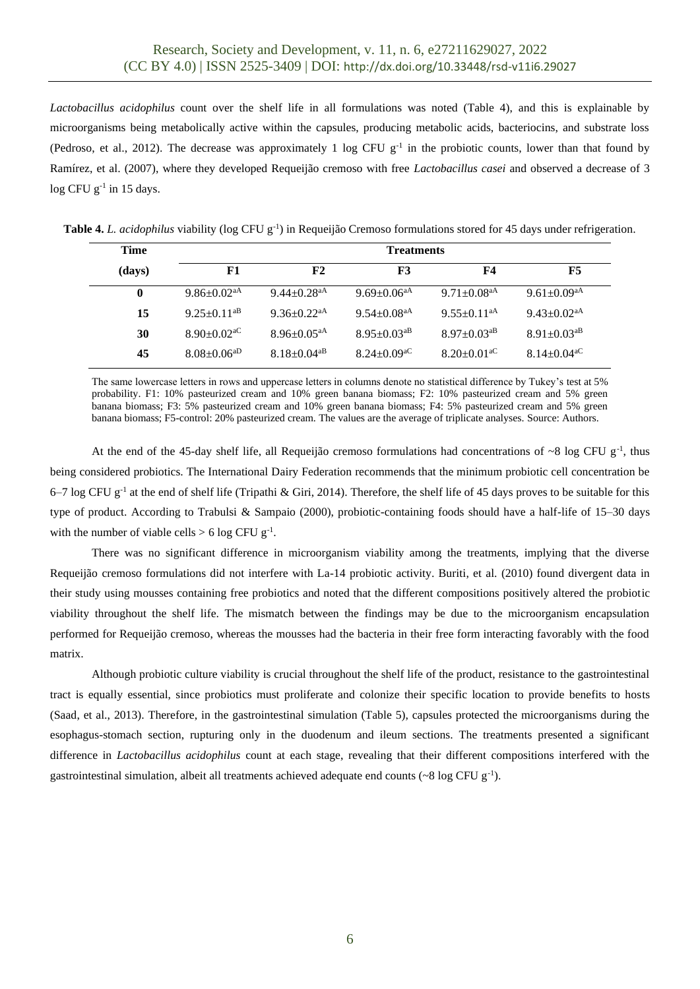*Lactobacillus acidophilus* count over the shelf life in all formulations was noted (Table 4), and this is explainable by microorganisms being metabolically active within the capsules, producing metabolic acids, bacteriocins, and substrate loss (Pedroso, et al., 2012). The decrease was approximately 1 log CFU  $g^{-1}$  in the probiotic counts, lower than that found by Ramírez, et al. (2007), where they developed Requeijão cremoso with free *Lactobacillus casei* and observed a decrease of 3  $log CFU g^{-1}$  in 15 days.

**Table 4.** *L. acidophilus* viability (log CFU g<sup>-1</sup>) in Requeijão Cremoso formulations stored for 45 days under refrigeration.

| <b>Time</b> | <b>Treatments</b>             |                               |                               |                               |                               |  |
|-------------|-------------------------------|-------------------------------|-------------------------------|-------------------------------|-------------------------------|--|
| (days)      | F1                            | F2                            | F3                            | F4                            | F5                            |  |
| 0           | $9.86 \pm 0.02$ <sup>aA</sup> | $9.44 + 0.28$ <sup>aA</sup>   | $9.69 \pm 0.06$ <sup>aA</sup> | 9.71 $\pm$ 0.08 <sup>aA</sup> | 9.61 $\pm$ 0.09 <sup>aA</sup> |  |
| 15          | $9.25+0.11^{aB}$              | $9.36 \pm 0.22$ <sup>aA</sup> | $9.54 \pm 0.08$ <sup>aA</sup> | $9.55+0.11^{aA}$              | 9.43 $\pm$ 0.02 <sup>aA</sup> |  |
| 30          | $8.90+0.02$ <sup>aC</sup>     | $8.96 \pm 0.05$ <sup>aA</sup> | $8.95 \pm 0.03$ <sup>aB</sup> | $8.97 \pm 0.03$ <sup>aB</sup> | $8.91 \pm 0.03$ <sup>aB</sup> |  |
| 45          | $8.08 \pm 0.06^{aD}$          | $8.18 \pm 0.04$ <sup>aB</sup> | $8.24 \pm 0.09$ <sup>aC</sup> | $8.20 \pm 0.01$ <sup>aC</sup> | $8.14 \pm 0.04$ <sup>aC</sup> |  |

The same lowercase letters in rows and uppercase letters in columns denote no statistical difference by Tukey's test at 5% probability. F1: 10% pasteurized cream and 10% green banana biomass; F2: 10% pasteurized cream and 5% green banana biomass; F3: 5% pasteurized cream and 10% green banana biomass; F4: 5% pasteurized cream and 5% green banana biomass; F5-control: 20% pasteurized cream. The values are the average of triplicate analyses. Source: Authors.

At the end of the 45-day shelf life, all Requeijão cremoso formulations had concentrations of  $\sim 8$  log CFU g<sup>-1</sup>, thus being considered probiotics. The International Dairy Federation recommends that the minimum probiotic cell concentration be 6–7 log CFU  $g^{-1}$  at the end of shelf life (Tripathi & Giri, 2014). Therefore, the shelf life of 45 days proves to be suitable for this type of product. According to Trabulsi & Sampaio (2000), probiotic-containing foods should have a half-life of 15–30 days with the number of viable cells  $> 6 \log$  CFU g<sup>-1</sup>.

There was no significant difference in microorganism viability among the treatments, implying that the diverse Requeijão cremoso formulations did not interfere with La-14 probiotic activity. Buriti, et al. (2010) found divergent data in their study using mousses containing free probiotics and noted that the different compositions positively altered the probiotic viability throughout the shelf life. The mismatch between the findings may be due to the microorganism encapsulation performed for Requeijão cremoso, whereas the mousses had the bacteria in their free form interacting favorably with the food matrix.

Although probiotic culture viability is crucial throughout the shelf life of the product, resistance to the gastrointestinal tract is equally essential, since probiotics must proliferate and colonize their specific location to provide benefits to hosts (Saad, et al., 2013). Therefore, in the gastrointestinal simulation (Table 5), capsules protected the microorganisms during the esophagus-stomach section, rupturing only in the duodenum and ileum sections. The treatments presented a significant difference in *Lactobacillus acidophilus* count at each stage, revealing that their different compositions interfered with the gastrointestinal simulation, albeit all treatments achieved adequate end counts  $({\sim}8 \log$  CFU g<sup>-1</sup>).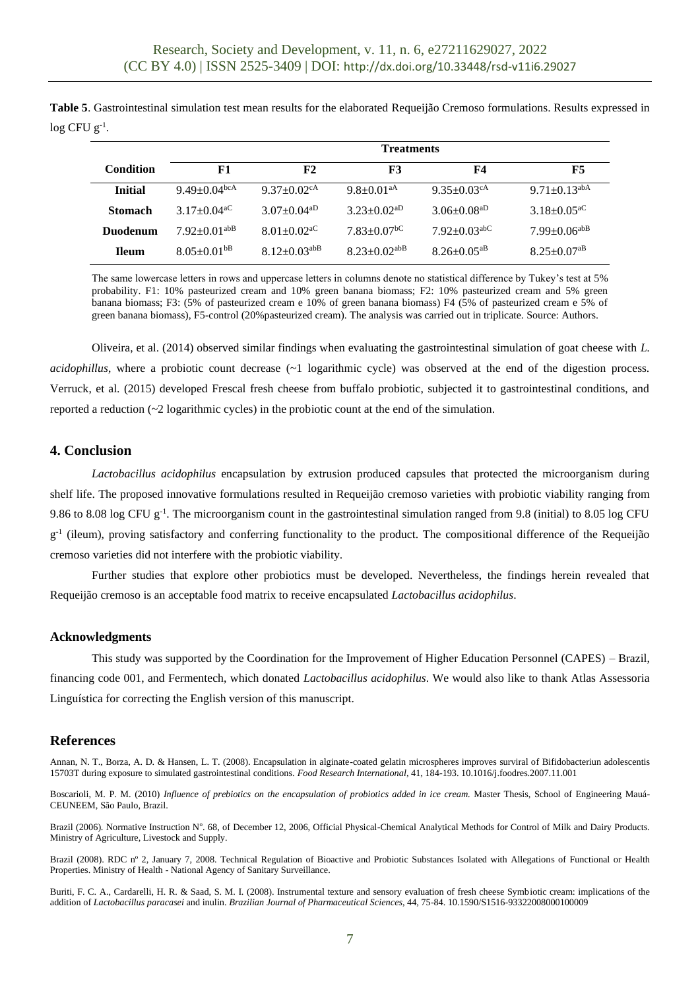**Table 5**. Gastrointestinal simulation test mean results for the elaborated Requeijão Cremoso formulations. Results expressed in  $log CFU g^{-1}$ .

|                 | <b>Treatments</b>              |                                |                               |                                |                                |  |
|-----------------|--------------------------------|--------------------------------|-------------------------------|--------------------------------|--------------------------------|--|
| Condition       | F1                             | F2                             | <b>F3</b>                     | F4                             | F5                             |  |
| <b>Initial</b>  | 9.49 $\pm$ 0.04 <sup>bcA</sup> | 9.37 $\pm$ 0.02 <sup>cA</sup>  | $9.8 \pm 0.01$ <sup>aA</sup>  | 9.35 $\pm$ 0.03 <sup>cA</sup>  | $9.71 \pm 0.13$ <sup>abA</sup> |  |
| <b>Stomach</b>  | $3.17 \pm 0.04$ <sup>aC</sup>  | $3.07 \pm 0.04$ <sup>aD</sup>  | $3.23 \pm 0.02$ <sup>aD</sup> | $3.06\pm0.08$ <sup>aD</sup>    | $3.18 \pm 0.05$ <sup>aC</sup>  |  |
| <b>Duodenum</b> | $7.92 \pm 0.01$ <sup>abB</sup> | $8.01 \pm 0.02$ <sup>aC</sup>  | $7.83 \pm 0.07$ <sup>bC</sup> | $7.92 \pm 0.03$ <sup>abC</sup> | $7.99 \pm 0.06^{abB}$          |  |
| <b>Ileum</b>    | $8.05 \pm 0.01$ <sup>bB</sup>  | $8.12 \pm 0.03$ <sup>abB</sup> | $8.23 \pm 0.02$ abB           | $8.26 \pm 0.05$ <sup>aB</sup>  | $8.25 \pm 0.07$ <sup>aB</sup>  |  |

The same lowercase letters in rows and uppercase letters in columns denote no statistical difference by Tukey's test at 5% probability. F1: 10% pasteurized cream and 10% green banana biomass; F2: 10% pasteurized cream and 5% green banana biomass; F3: (5% of pasteurized cream e 10% of green banana biomass) F4 (5% of pasteurized cream e 5% of green banana biomass), F5-control (20%pasteurized cream). The analysis was carried out in triplicate. Source: Authors.

Oliveira, et al. (2014) observed similar findings when evaluating the gastrointestinal simulation of goat cheese with *L. acidophillus*, where a probiotic count decrease (~1 logarithmic cycle) was observed at the end of the digestion process. Verruck, et al. (2015) developed Frescal fresh cheese from buffalo probiotic, subjected it to gastrointestinal conditions, and reported a reduction  $\sim$  2 logarithmic cycles) in the probiotic count at the end of the simulation.

# **4. Conclusion**

*Lactobacillus acidophilus* encapsulation by extrusion produced capsules that protected the microorganism during shelf life. The proposed innovative formulations resulted in Requeijão cremoso varieties with probiotic viability ranging from 9.86 to 8.08 log CFU  $g^{-1}$ . The microorganism count in the gastrointestinal simulation ranged from 9.8 (initial) to 8.05 log CFU g<sup>-1</sup> (ileum), proving satisfactory and conferring functionality to the product. The compositional difference of the Requeijão cremoso varieties did not interfere with the probiotic viability.

Further studies that explore other probiotics must be developed. Nevertheless, the findings herein revealed that Requeijão cremoso is an acceptable food matrix to receive encapsulated *Lactobacillus acidophilus*.

# **Acknowledgments**

This study was supported by the Coordination for the Improvement of Higher Education Personnel (CAPES) – Brazil, financing code 001, and Fermentech, which donated *Lactobacillus acidophilus*. We would also like to thank Atlas Assessoria Linguística for correcting the English version of this manuscript.

# **References**

Annan, N. T., Borza, A. D. & Hansen, L. T. (2008). Encapsulation in alginate-coated gelatin microspheres improves surviral of Bifidobacteriun adolescentis 15703T during exposure to simulated gastrointestinal conditions. *Food Research International*, 41, 184-193. 10.1016/j.foodres.2007.11.001

Boscarioli, M. P. M. (2010) *Influence of prebiotics on the encapsulation of probiotics added in ice cream.* Master Thesis, School of Engineering Mauá-CEUNEEM, São Paulo, Brazil.

Brazil (2006). Normative Instruction Nº. 68, of December 12, 2006, Official Physical-Chemical Analytical Methods for Control of Milk and Dairy Products. Ministry of Agriculture, Livestock and Supply.

Brazil (2008). RDC nº 2, January 7, 2008. Technical Regulation of Bioactive and Probiotic Substances Isolated with Allegations of Functional or Health Properties. Ministry of Health - National Agency of Sanitary Surveillance.

Buriti, F. C. A., Cardarelli, H. R. & Saad, S. M. I. (2008). Instrumental texture and sensory evaluation of fresh cheese Symbiotic cream: implications of the addition of *Lactobacillus paracasei* and inulin. *Brazilian Journal of Pharmaceutical Sciences*, 44, 75-84. 10.1590/S1516-93322008000100009